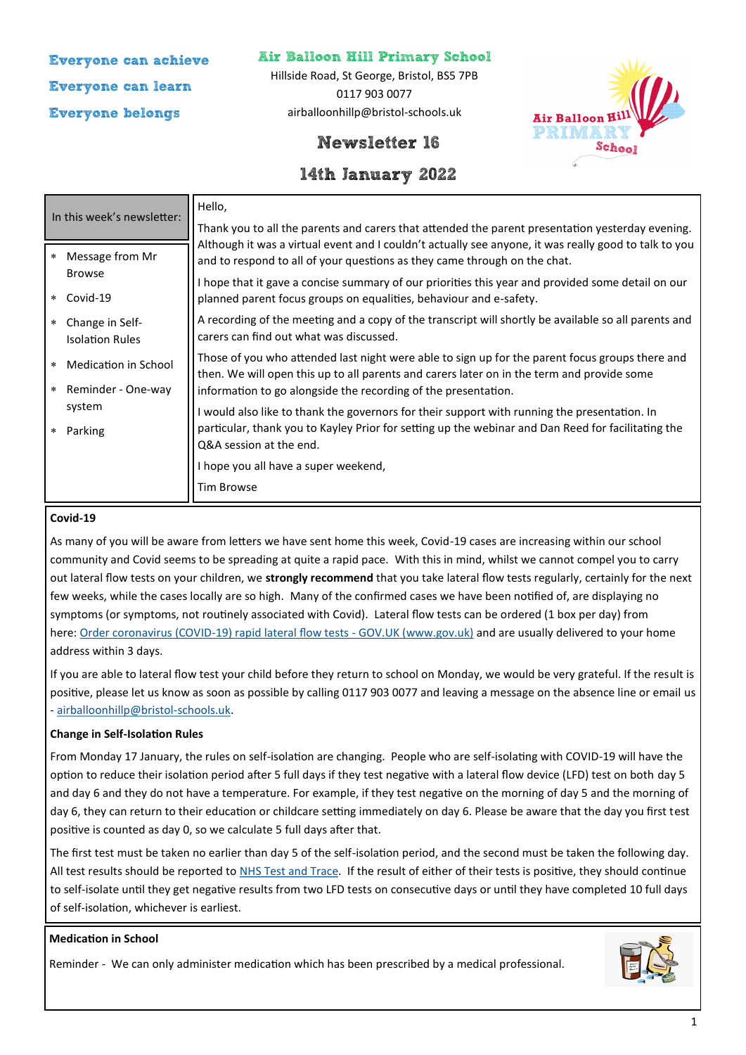**Everyone can achieve Everyone can learn Everyone belongs**

## **Air Balloon Hill Primary School**

Hillside Road, St George, Bristol, BS5 7PB 0117 903 0077 airballoonhillp@bristol-schools.uk



# **Newsletter 16**

# **14th January 2022**

| In this week's newsletter:                           | Hello,                                                                                                                                                                                        |
|------------------------------------------------------|-----------------------------------------------------------------------------------------------------------------------------------------------------------------------------------------------|
|                                                      | Thank you to all the parents and carers that attended the parent presentation yesterday evening.                                                                                              |
| Message from Mr<br>$\star$                           | Although it was a virtual event and I couldn't actually see anyone, it was really good to talk to you<br>and to respond to all of your questions as they came through on the chat.            |
| <b>Browse</b><br>Covid-19<br>$\star$                 | I hope that it gave a concise summary of our priorities this year and provided some detail on our<br>planned parent focus groups on equalities, behaviour and e-safety.                       |
| Change in Self-<br>$\star$<br><b>Isolation Rules</b> | A recording of the meeting and a copy of the transcript will shortly be available so all parents and<br>carers can find out what was discussed.                                               |
| Medication in School<br>$\ast$                       | Those of you who attended last night were able to sign up for the parent focus groups there and<br>then. We will open this up to all parents and carers later on in the term and provide some |
| Reminder - One-way<br>$\star$                        | information to go alongside the recording of the presentation.                                                                                                                                |
| system                                               | I would also like to thank the governors for their support with running the presentation. In                                                                                                  |
| Parking<br>$\star$                                   | particular, thank you to Kayley Prior for setting up the webinar and Dan Reed for facilitating the<br>Q&A session at the end.                                                                 |
|                                                      | I hope you all have a super weekend,                                                                                                                                                          |
|                                                      | <b>Tim Browse</b>                                                                                                                                                                             |

### **Covid-19**

As many of you will be aware from letters we have sent home this week, Covid-19 cases are increasing within our school community and Covid seems to be spreading at quite a rapid pace. With this in mind, whilst we cannot compel you to carry out lateral flow tests on your children, we **strongly recommend** that you take lateral flow tests regularly, certainly for the next few weeks, while the cases locally are so high. Many of the confirmed cases we have been notified of, are displaying no symptoms (or symptoms, not routinely associated with Covid). Lateral flow tests can be ordered (1 box per day) from here: Order coronavirus (COVID-[19\) rapid lateral flow tests](https://www.gov.uk/order-coronavirus-rapid-lateral-flow-tests) - GOV.UK (www.gov.uk) and are usually delivered to your home address within 3 days.

If you are able to lateral flow test your child before they return to school on Monday, we would be very grateful. If the result is positive, please let us know as soon as possible by calling 0117 903 0077 and leaving a message on the absence line or email us - [airballoonhillp@bristol](mailto:airballoonhillp@bristol-schools.uk)-schools.uk.

### **Change in Self-Isolation Rules**

From Monday 17 January, the rules on self-isolation are changing. People who are self-isolating with COVID-19 will have the option to reduce their isolation period after 5 full days if they test negative with a lateral flow device (LFD) test on both day 5 and day 6 and they do not have a temperature. For example, if they test negative on the morning of day 5 and the morning of day 6, they can return to their education or childcare setting immediately on day 6. Please be aware that the day you first test positive is counted as day 0, so we calculate 5 full days after that.

The first test must be taken no earlier than day 5 of the self-isolation period, and the second must be taken the following day. All test results should be reported to [NHS Test and Trace.](https://www.gov.uk/report-covid19-result?utm_source=14%20January%202022%20C19&utm_medium=Daily%20Email%20C19&utm_campaign=DfE%20C19) If the result of either of their tests is positive, they should continue to self-isolate until they get negative results from two LFD tests on consecutive days or until they have completed 10 full days of self-isolation, whichever is earliest.

#### **Medication in School**

Reminder - We can only administer medication which has been prescribed by a medical professional.